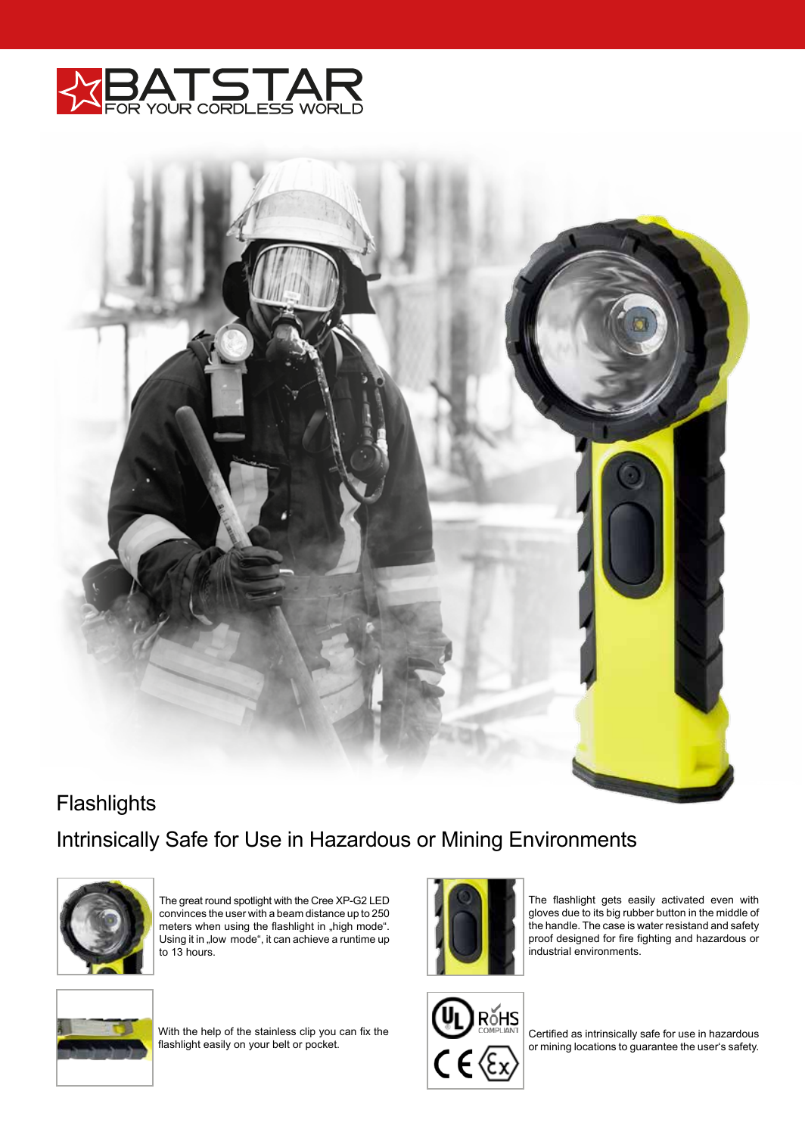



## Intrinsically Safe for Use in Hazardous or Mining Environments **Flashlights**



The great round spotlight with the Cree XP-G2 LED convinces the user with a beam distance up to 250 meters when using the flashlight in "high mode". Using it in "low mode", it can achieve a runtime up to 13 hours.



The flashlight gets easily activated even with gloves due to its big rubber button in the middle of the handle. The case is water resistand and safety proof designed for fire fighting and hazardous or industrial environments.



With the help of the stainless clip you can fix the flashlight easily on your belt or pocket.



Certified as intrinsically safe for use in hazardous or mining locations to guarantee the user's safety.